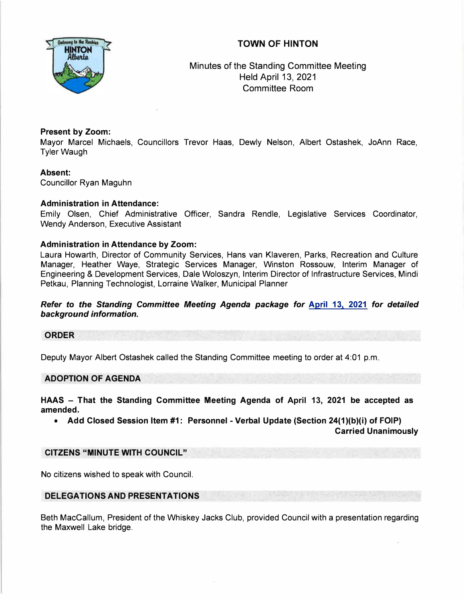# **TOWN OF HINTON**



Minutes of the Standing Committee Meeting Held April 13, 2021 Committee Room

# **Present by Zoom:**

Mayor Marcel Michaels, Councillors Trevor Haas, Dewly Nelson, Albert Ostashek, JoAnn Race, Tyler Waugh

## **Absent:**

Councillor Ryan Maguhn

## **Administration in Attendance:**

Emily Olsen, Chief Administrative Officer, Sandra Rendle, Legislative Services Coordinator, Wendy Anderson, Executive Assistant

## **Administration in Attendance by Zoom:**

Laura Howarth, Director of Community Services, Hans van Klaveren, Parks, Recreation and Culture Manager, Heather Waye, Strategic Services Manager, Winston Rossouw, Interim Manager of Engineering & Development Services, Dale Woloszyn, Interim Director of Infrastructure Services, Mindi Petkau, Planning Technologist, Lorraine Walker, Municipal Planner

*Refer to the Standing Committee Meeting Agenda package for* **April 13, 2021** *for detailed background information.* 

#### **ORDER**

Deputy Mayor Albert Ostashek called the Standing Committee meeting to order at 4:01 p.m.

#### **ADOPTION OF AGENDA**

**HAAS - That the Standing Committee Meeting Agenda of April 13, 2021 be accepted as amended.** 

**• Add Closed Session Item #1: Personnel - Verbal Update (Section 24(1 )(b)(i) of FOIP) Carried Unanimously** 

### **CITZENS "MINUTE WITH COUNCIL"**

No citizens wished to speak with Council.

#### **DELEGATIONS AND PRESENTATIONS**

Beth Maccallum, President of the Whiskey Jacks Club, provided Council with a presentation regarding the Maxwell Lake bridge.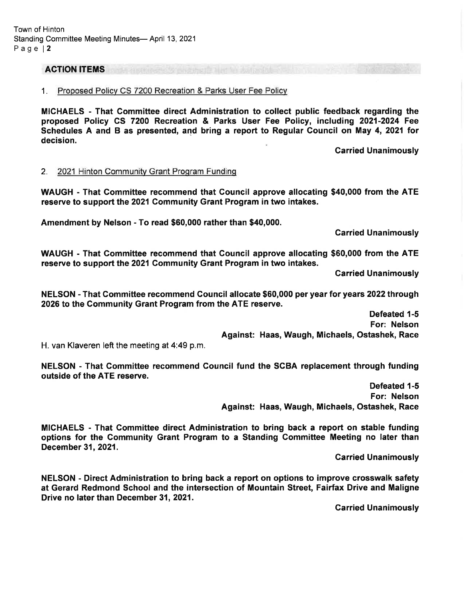#### ACTION ITEMS

#### 1. Proposed Policv CS 7200 Recreation & Parks User Fee Policv

MICHAELS - That Gommittee direct Administration to collect public feedback regarding the proposed Policy GS 7200 Recreation & Parks User Fee Policy, including 2021-2024 Fee Schedules A and B as presented, and bring a report to Regular Council on May 4, 2021 for decision.

Garried Unanimously

#### 2. 2021 Hinton Communitv Grant Program Fundinq

WAUGH - That Gommittee recommend that Gouncil approve allocating \$40,000 from the ATE reserve to support the 2021 Community Grant Program in two intakes.

Amendment by Nelson - To read \$60,000 rather than \$40,000.

Carried Unanimously

WAUGH - That Gommittee recommend that Council approve allocating \$60,000 from the ATE reserve to support the 2021 Community Grant Program in two intakes.

Carried Unanimously

NELSON - That Commiftee recommend Gouncil allocate \$60,000 per year for years 2022 through 2026 to the Gommunity Grant Program from the ATE reserve.

> Defeated 1-5 For: Nelson Against: Haas, Waugh, Michaels, Ostashek, Race

H. van Klaveren left the meeting at 4:49 p.m.

NELSON - That Gommittee recommend Council fund the SCBA replacement through funding outside of the ATE reserve.

> Defeated 1-5 For: Nelson Against: Haas, Waugh, Michaels, Ostashek, Race

MICHAELS - That Gommittee direct Administration to bring back a report on stable funding options for the Gommunity Grant Program to a Standing Gommittee Meeting no later than December 31, 2021.

**Carried Unanimously** 

NELSON - Direct Administration to bring back a report on options to improve crosswalk safety at Gerard Redmond School and the intersection of Mountain Street, Fairfax Drive and Maligne Drive no later than December 31,2021.

Carried Unanimously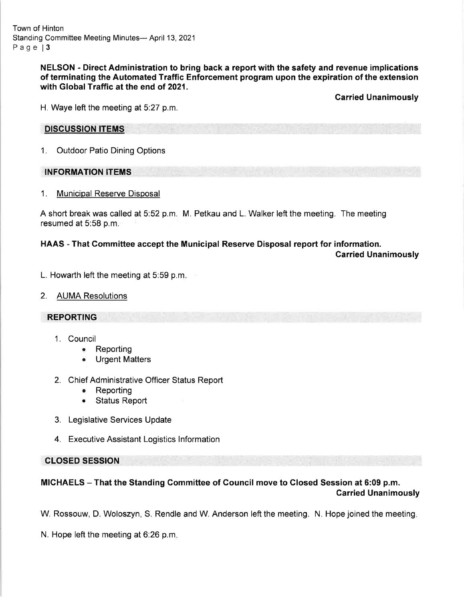Town of Hinton Standing Committee Meeting Minutes- April 13, 2021 Page | 3

> NELSON - Direct Administration to bring back a report with the safety and revenue implications of terminating the Automated Traffic Enforcement program upon the expiration of the extension with Global Traffic at the end of 2021.

> > Carried Unanimously

H. Waye left the meeting at 5:27 p.m.

## DISCUSSION ITEMS

1. Outdoor Patio Dining Options

## INFORMATION ITEMS

1. Municipal Reserve Disposal

A short break was called at 5:52 p.m. M. Petkau and L. Walker left the meeting. The meeting resumed at 5:58 p.m.

# HAAS - That Gommittee accept the Municipal Reserve Disposal report for information.

Carried Unanimously

- L. Howarth left the meeting at 5:59 p.m
- 2. AUMA Resolutions

## REPORTING

- 1. Council
	- Reporting
	- a Urgent Matters
- 2. Chief Administrative Officer Status Report
	- . Reporting
	- Status Report
- 3. Legislative Services Update
- 4. Executive Assistant Logistics lnformation

# CLOSED SESSION

# MICHAELS - That the Standing Committee of Council move to Glosed Session at 6:09 p.m. Carried Unanimously

W. Rossouw, D. Woloszyn, S. Rendle and W. Anderson left the meeting. N. Hope joined the meeting

N. Hope left the meeting at 6:26 p.m